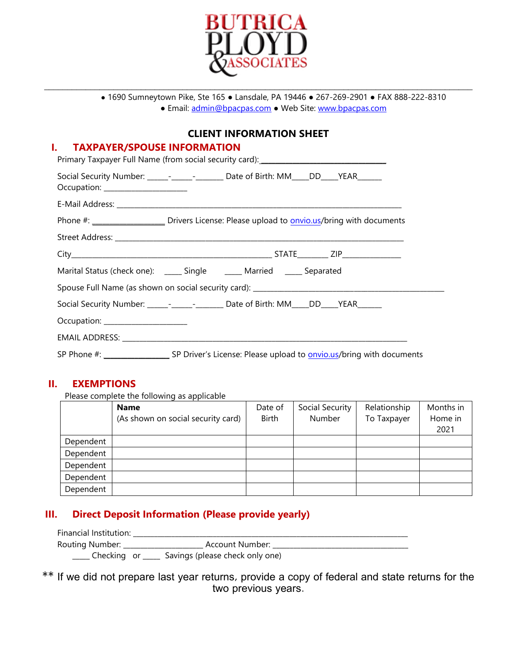

\_\_\_\_\_\_\_\_\_\_\_\_\_\_\_\_\_\_\_\_\_\_\_\_\_\_\_\_\_\_\_\_\_\_\_\_\_\_\_\_\_\_\_\_\_\_\_\_\_\_\_\_\_\_\_\_\_\_\_\_\_\_\_\_\_\_\_\_\_\_\_\_\_\_\_\_\_\_\_\_\_\_\_\_\_\_\_\_\_\_\_\_\_

● 1690 Sumneytown Pike, Ste 165 ● Lansdale, PA 19446 ● 267-269-2901 ● FAX 888-222-8310 ● Email: [admin@bpacpas.com](mailto:admin@bpacpas.com) ● Web Site: [www.bpacpas.com](https://www.bpacpas.com/)

## **CLIENT INFORMATION SHEET**

#### **I. TAXPAYER/SPOUSE INFORMATION**

|                                      | Primary Taxpayer Full Name (from social security card): _________________________                |
|--------------------------------------|--------------------------------------------------------------------------------------------------|
| Occupation: ________________________ | Social Security Number: ______-__________________ Date of Birth: MM_____DD_____YEAR_______       |
|                                      |                                                                                                  |
|                                      | Phone #: _______________________ Drivers License: Please upload to onvio.us/bring with documents |
|                                      |                                                                                                  |
|                                      |                                                                                                  |
|                                      | Marital Status (check one): ______ Single _______ Married ______ Separated                       |
|                                      |                                                                                                  |
|                                      | Social Security Number: ______-_________________ Date of Birth: MM_____DD_____YEAR_______        |
| Occupation: ____________________     |                                                                                                  |
|                                      |                                                                                                  |
|                                      |                                                                                                  |

#### **II. EXEMPTIONS**

Please complete the following as applicable

|           | <b>Name</b>                        | Date of      | Social Security | Relationship | Months in |
|-----------|------------------------------------|--------------|-----------------|--------------|-----------|
|           | (As shown on social security card) | <b>Birth</b> | Number          | To Taxpayer  | Home in   |
|           |                                    |              |                 |              | 2021      |
| Dependent |                                    |              |                 |              |           |
| Dependent |                                    |              |                 |              |           |
| Dependent |                                    |              |                 |              |           |
| Dependent |                                    |              |                 |              |           |
| Dependent |                                    |              |                 |              |           |

## **III. Direct Deposit Information (Please provide yearly)**

| Financial Institution: |                                 |  |
|------------------------|---------------------------------|--|
| Routing Number:        | Account Number:                 |  |
|                        | Savings (please check only one) |  |

## \*\* If we did not prepare last year returns, provide a copy of federal and state returns for the two previous years.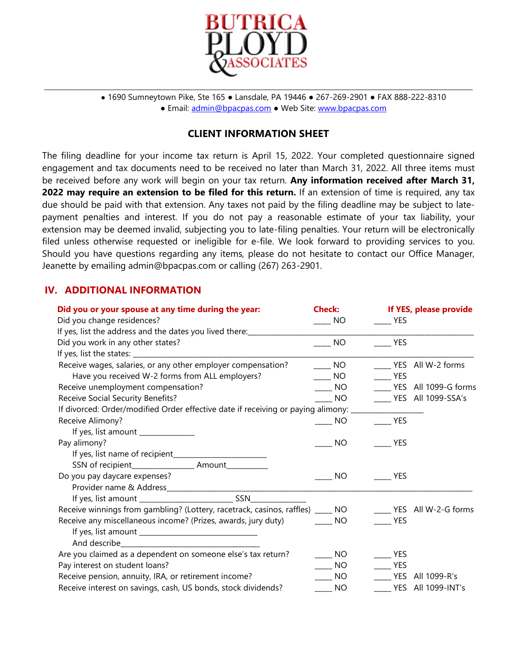

● 1690 Sumneytown Pike, Ste 165 ● Lansdale, PA 19446 ● 267-269-2901 ● FAX 888-222-8310 ● Email: [admin@bpacpas.com](mailto:admin@bpacpas.com) ● Web Site: [www.bpacpas.com](https://www.bpacpas.com/)

#### **CLIENT INFORMATION SHEET**

\_\_\_\_\_\_\_\_\_\_\_\_\_\_\_\_\_\_\_\_\_\_\_\_\_\_\_\_\_\_\_\_\_\_\_\_\_\_\_\_\_\_\_\_\_\_\_\_\_\_\_\_\_\_\_\_\_\_\_\_\_\_\_\_\_\_\_\_\_\_\_\_\_\_\_\_\_\_\_\_\_\_\_\_\_\_\_\_\_\_\_\_\_

The filing deadline for your income tax return is April 15, 2022. Your completed questionnaire signed engagement and tax documents need to be received no later than March 31, 2022. All three items must be received before any work will begin on your tax return. **Any information received after March 31, 2022 may require an extension to be filed for this return.** If an extension of time is required, any tax due should be paid with that extension. Any taxes not paid by the filing deadline may be subject to latepayment penalties and interest. If you do not pay a reasonable estimate of your tax liability, your extension may be deemed invalid, subjecting you to late-filing penalties. Your return will be electronically filed unless otherwise requested or ineligible for e-file. We look forward to providing services to you. Should you have questions regarding any items, please do not hesitate to contact our Office Manager, Jeanette by emailing admin@bpacpas.com or calling (267) 263-2901.

### **IV. ADDITIONAL INFORMATION**

| Did you or your spouse at any time during the year:                                   | <b>Check:</b>               | If YES, please provide     |
|---------------------------------------------------------------------------------------|-----------------------------|----------------------------|
| Did you change residences?                                                            | NO                          | <b>EXAMPLE</b>             |
| If yes, list the address and the dates you lived there: ________________________      |                             |                            |
| Did you work in any other states?                                                     | <b>NO</b>                   | <b>YES</b>                 |
|                                                                                       |                             |                            |
| Receive wages, salaries, or any other employer compensation?                          | $\frac{1}{2}$ NO            | _____ YES All W-2 forms    |
| Have you received W-2 forms from ALL employers?                                       | $\frac{1}{2}$ NO            | YES                        |
| Receive unemployment compensation?                                                    | $\overline{\phantom{0}}$ NO | YES All 1099-G forms       |
| Receive Social Security Benefits?                                                     | $\overline{\phantom{0}}$ NO | _____ YES All 1099-SSA's   |
| If divorced: Order/modified Order effective date if receiving or paying alimony: ____ |                             |                            |
| Receive Alimony?                                                                      | $\rule{1em}{0.15mm}$ NO     | <b>SALES</b>               |
| If yes, list amount _______________                                                   |                             |                            |
| Pay alimony?                                                                          | <b>NO</b>                   | <b>EXAMPLE</b>             |
|                                                                                       |                             |                            |
| SSN of recipient________________________ Amount_____________                          |                             |                            |
| Do you pay daycare expenses?                                                          | NO.                         | <b>PES</b>                 |
|                                                                                       |                             |                            |
|                                                                                       |                             |                            |
| Receive winnings from gambling? (Lottery, racetrack, casinos, raffles) ____ NO        |                             | ______ YES All W-2-G forms |
| Receive any miscellaneous income? (Prizes, awards, jury duty)                         | NO <sub>N</sub>             | <b>EXAMPLE</b>             |
|                                                                                       |                             |                            |
|                                                                                       |                             |                            |
| Are you claimed as a dependent on someone else's tax return?                          | $\rule{1em}{0.15mm}$ NO     | <b>YES</b>                 |
| Pay interest on student loans?                                                        | $\overline{\phantom{0}}$ NO | <b>EXAMPLE</b>             |
| Receive pension, annuity, IRA, or retirement income?                                  | $\overline{\phantom{0}}$ NO | <b>YES</b> All 1099-R's    |
| Receive interest on savings, cash, US bonds, stock dividends?                         | $\frac{1}{2}$ NO            | _____ YES All 1099-INT's   |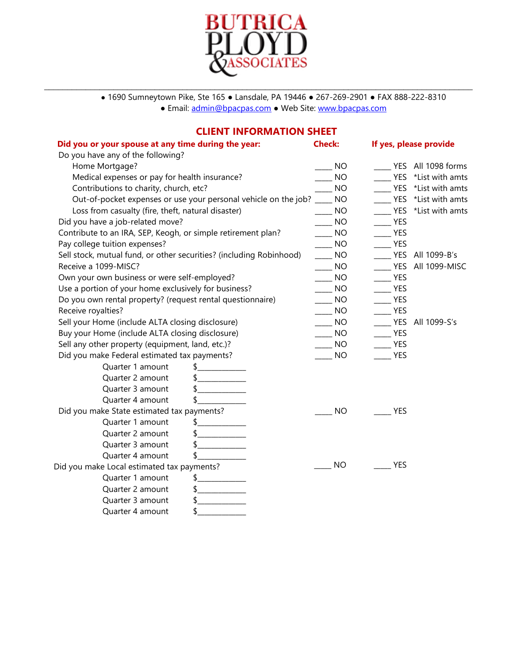

\_\_\_\_\_\_\_\_\_\_\_\_\_\_\_\_\_\_\_\_\_\_\_\_\_\_\_\_\_\_\_\_\_\_\_\_\_\_\_\_\_\_\_\_\_\_\_\_\_\_\_\_\_\_\_\_\_\_\_\_\_\_\_\_\_\_\_\_\_\_\_\_\_\_\_\_\_\_\_\_\_\_\_\_\_\_\_\_\_\_\_\_\_

● 1690 Sumneytown Pike, Ste 165 ● Lansdale, PA 19446 ● 267-269-2901 ● FAX 888-222-8310 ● Email: [admin@bpacpas.com](mailto:admin@bpacpas.com) ● Web Site: [www.bpacpas.com](https://www.bpacpas.com/)

# **CLIENT INFORMATION SHEET**

| Did you or your spouse at any time during the year:                 | <b>Check:</b>   | If yes, please provide   |                     |
|---------------------------------------------------------------------|-----------------|--------------------------|---------------------|
| Do you have any of the following?                                   |                 |                          |                     |
| Home Mortgage?                                                      | <b>NO</b>       |                          | YES All 1098 forms  |
| Medical expenses or pay for health insurance?                       | <b>NO</b>       |                          | YES *List with amts |
| Contributions to charity, church, etc?                              | <b>NO</b>       |                          | YES *List with amts |
| Out-of-pocket expenses or use your personal vehicle on the job?     | <b>NO</b>       |                          | YES *List with amts |
| Loss from casualty (fire, theft, natural disaster)                  | <b>NO</b>       |                          | YES *List with amts |
| Did you have a job-related move?                                    | <b>NO</b>       | <b>EXAMPLE</b>           |                     |
| Contribute to an IRA, SEP, Keogh, or simple retirement plan?        | <b>NO</b>       | <b>YES</b>               |                     |
| Pay college tuition expenses?                                       | <b>NO</b>       | $-$ YES                  |                     |
| Sell stock, mutual fund, or other securities? (including Robinhood) | <b>NO</b>       |                          | VES All 1099-B's    |
| Receive a 1099-MISC?                                                | <b>NO</b>       | <b>EXAMPLE</b>           | All 1099-MISC       |
| Own your own business or were self-employed?                        | NO <sub>1</sub> | $\rule{1em}{0.15mm}$ YES |                     |
| Use a portion of your home exclusively for business?                | NO <sub>1</sub> | $-$ YES                  |                     |
| Do you own rental property? (request rental questionnaire)          | <b>NO</b>       | NES                      |                     |
| Receive royalties?                                                  | <b>NO</b>       | <b>YES</b>               |                     |
| Sell your Home (include ALTA closing disclosure)                    | <b>NO</b>       |                          | VES All 1099-S's    |
| Buy your Home (include ALTA closing disclosure)                     | <b>NO</b>       | <b>YES</b>               |                     |
| Sell any other property (equipment, land, etc.)?                    | <b>NO</b>       | NES                      |                     |
| Did you make Federal estimated tax payments?                        | <b>NO</b>       | <b>YES</b>               |                     |
| Quarter 1 amount<br>$\frac{1}{2}$                                   |                 |                          |                     |
| Quarter 2 amount<br>$\frac{1}{2}$                                   |                 |                          |                     |
| Quarter 3 amount<br>$\frac{1}{2}$                                   |                 |                          |                     |
| Quarter 4 amount                                                    |                 |                          |                     |
| Did you make State estimated tax payments?                          | <b>NO</b>       | <b>YES</b>               |                     |
| Quarter 1 amount                                                    |                 |                          |                     |
| Quarter 2 amount                                                    |                 |                          |                     |
| Quarter 3 amount                                                    |                 |                          |                     |
| Quarter 4 amount                                                    |                 |                          |                     |
| Did you make Local estimated tax payments?                          | <b>NO</b>       | <b>YES</b>               |                     |
| Quarter 1 amount<br>$\mathsf{\$}$<br>_______________                |                 |                          |                     |
| Quarter 2 amount<br>$\frac{1}{2}$                                   |                 |                          |                     |
| Quarter 3 amount<br>$\frac{1}{2}$                                   |                 |                          |                     |
| \$<br>Quarter 4 amount                                              |                 |                          |                     |